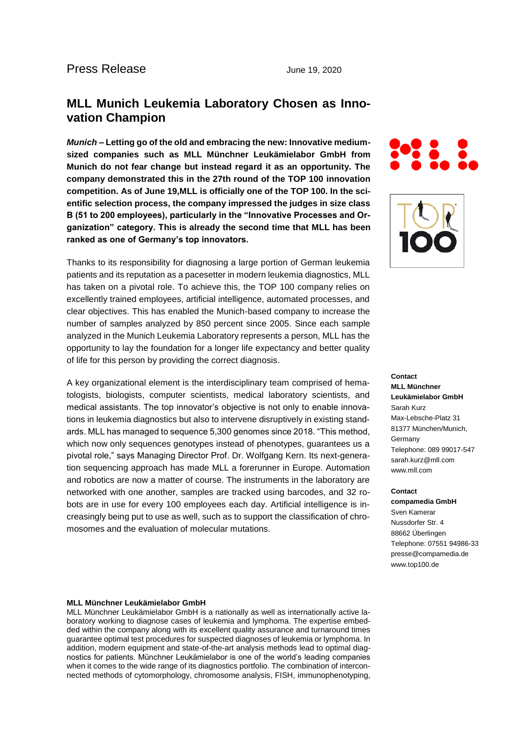# **MLL Munich Leukemia Laboratory Chosen as Innovation Champion**

*Munich* **– Letting go of the old and embracing the new: Innovative mediumsized companies such as MLL Münchner Leukämielabor GmbH from Munich do not fear change but instead regard it as an opportunity. The company demonstrated this in the 27th round of the TOP 100 innovation competition. As of June 19,MLL is officially one of the TOP 100. In the scientific selection process, the company impressed the judges in size class B (51 to 200 employees), particularly in the "Innovative Processes and Organization" category. This is already the second time that MLL has been ranked as one of Germany's top innovators.**

Thanks to its responsibility for diagnosing a large portion of German leukemia patients and its reputation as a pacesetter in modern leukemia diagnostics, MLL has taken on a pivotal role. To achieve this, the TOP 100 company relies on excellently trained employees, artificial intelligence, automated processes, and clear objectives. This has enabled the Munich-based company to increase the number of samples analyzed by 850 percent since 2005. Since each sample analyzed in the Munich Leukemia Laboratory represents a person, MLL has the opportunity to lay the foundation for a longer life expectancy and better quality of life for this person by providing the correct diagnosis.

A key organizational element is the interdisciplinary team comprised of hematologists, biologists, computer scientists, medical laboratory scientists, and medical assistants. The top innovator's objective is not only to enable innovations in leukemia diagnostics but also to intervene disruptively in existing standards. MLL has managed to sequence 5,300 genomes since 2018. "This method, which now only sequences genotypes instead of phenotypes, quarantees us a pivotal role," says Managing Director Prof. Dr. Wolfgang Kern. Its next-generation sequencing approach has made MLL a forerunner in Europe. Automation and robotics are now a matter of course. The instruments in the laboratory are networked with one another, samples are tracked using barcodes, and 32 robots are in use for every 100 employees each day. Artificial intelligence is increasingly being put to use as well, such as to support the classification of chromosomes and the evaluation of molecular mutations.





**Contact MLL Münchner Leukämielabor GmbH** Sarah Kurz Max-Lebsche-Platz 31 81377 München/Munich, Germany Telephone: 089 99017-547 sarah.kurz@mll.com www.mll.com

#### **Contact**

**compamedia GmbH** Sven Kamerar Nussdorfer Str. 4 88662 Überlingen Telephone: 07551 94986-33 presse@compamedia.de www.top100.de

#### **MLL Münchner Leukämielabor GmbH**

MLL Münchner Leukämielabor GmbH is a nationally as well as internationally active laboratory working to diagnose cases of leukemia and lymphoma. The expertise embedded within the company along with its excellent quality assurance and turnaround times guarantee optimal test procedures for suspected diagnoses of leukemia or lymphoma. In addition, modern equipment and state-of-the-art analysis methods lead to optimal diagnostics for patients. Münchner Leukämielabor is one of the world's leading companies when it comes to the wide range of its diagnostics portfolio. The combination of interconnected methods of cytomorphology, chromosome analysis, FISH, immunophenotyping,